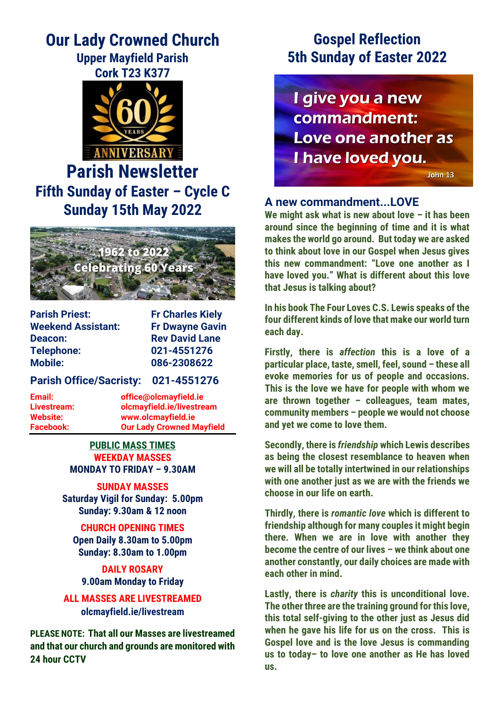# **Our Lady Crowned Church Upper Mayfield Parish**

**Cork T23 K377**



# **Parish Newsletter Fifth Sunday of Easter – Cycle C Sunday 15th May 2022**



**Parish Priest:** Fr Charles Kiely **Weekend Assistant: Fr Dwayne Gavin Deacon:** Rev David Lane **Telephone: 021-4551276 Mobile: 086-2308622**

**Parish Office/Sacristy: 021-4551276**

**Email: office@olcmayfield.ie Livestream: olcmayfield.ie/livestream Website: www.olcmayfield.ie Facebook: Our Lady Crowned Mayfield**

### **PUBLIC MASS TIMES WEEKDAY MASSES MONDAY TO FRIDAY – 9.30AM**

**SUNDAY MASSES Saturday Vigil for Sunday: 5.00pm Sunday: 9.30am & 12 noon**

**CHURCH OPENING TIMES Open Daily 8.30am to 5.00pm Sunday: 8.30am to 1.00pm**

**DAILY ROSARY 9.00am Monday to Friday**

**ALL MASSES ARE LIVESTREAMED olcmayfield.ie/livestream**

**PLEASE NOTE: That all our Masses are livestreamed and that our church and grounds are monitored with 24 hour CCTV** 

# **Gospel Reflection 5th Sunday of Easter 2022**

I give you a new commandment: Love one another as I have loved you.

John 13

## **A new commandment...LOVE**

**We might ask what is new about love – it has been around since the beginning of time and it is what makes the world go around. But today we are asked to think about love in our Gospel when Jesus gives this new commandment: "Love one another as I have loved you." What is different about this love that Jesus is talking about?**

**In his book The Four Loves C.S. Lewis speaks of the four different kinds of love that make our world turn each day.** 

**Firstly, there is** *affection* **this is a love of a particular place, taste, smell, feel, sound – these all evoke memories for us of people and occasions. This is the love we have for people with whom we are thrown together – colleagues, team mates, community members – people we would not choose and yet we come to love them.** 

**Secondly, there is** *friendship* **which Lewis describes as being the closest resemblance to heaven when we will all be totally intertwined in our relationships with one another just as we are with the friends we choose in our life on earth.** 

**Thirdly, there is** *romantic love* **which is different to friendship although for many couples it might begin there. When we are in love with another they become the centre of our lives – we think about one another constantly, our daily choices are made with each other in mind.** 

**Lastly, there is** *charity* **this is unconditional love. The other three are the training ground for this love, this total self-giving to the other just as Jesus did when he gave his life for us on the cross. This is Gospel love and is the love Jesus is commanding us to today– to love one another as He has loved us.**